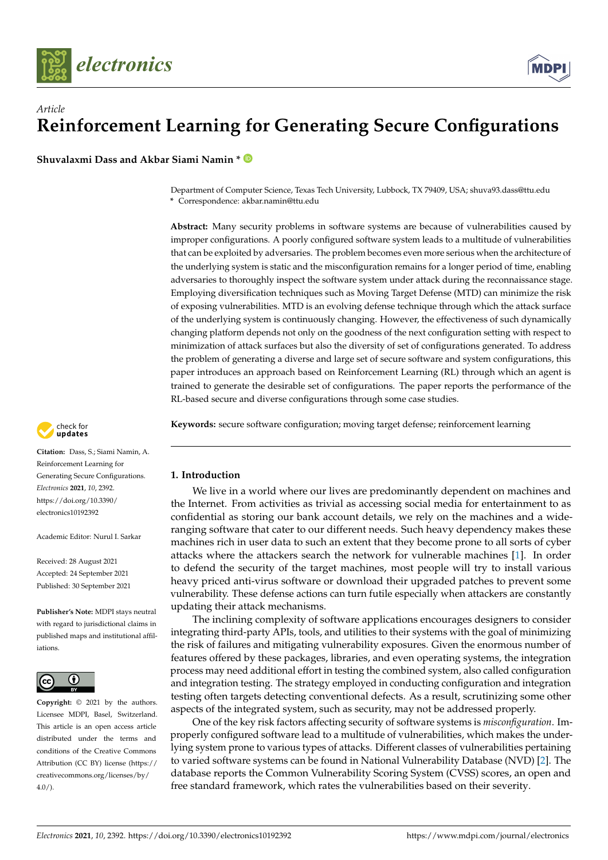



**Shuvalaxmi Dass and Akbar Siami Namin \***

Department of Computer Science, Texas Tech University, Lubbock, TX 79409, USA; shuva93.dass@ttu.edu **\*** Correspondence: akbar.namin@ttu.edu

**Abstract:** Many security problems in software systems are because of vulnerabilities caused by improper configurations. A poorly configured software system leads to a multitude of vulnerabilities that can be exploited by adversaries. The problem becomes even more serious when the architecture of the underlying system is static and the misconfiguration remains for a longer period of time, enabling adversaries to thoroughly inspect the software system under attack during the reconnaissance stage. Employing diversification techniques such as Moving Target Defense (MTD) can minimize the risk of exposing vulnerabilities. MTD is an evolving defense technique through which the attack surface of the underlying system is continuously changing. However, the effectiveness of such dynamically changing platform depends not only on the goodness of the next configuration setting with respect to minimization of attack surfaces but also the diversity of set of configurations generated. To address the problem of generating a diverse and large set of secure software and system configurations, this paper introduces an approach based on Reinforcement Learning (RL) through which an agent is trained to generate the desirable set of configurations. The paper reports the performance of the RL-based secure and diverse configurations through some case studies.

check for<br>**updates** 

**Citation:** Dass, S.; Siami Namin, A. Reinforcement Learning for Generating Secure Configurations. *Electronics* **2021**, *10*, 2392. [https://doi.org/10.3390/](https://doi.org/10.3390/electronics10192392) [electronics10192392](https://doi.org/10.3390/electronics10192392)

Academic Editor: Nurul I. Sarkar

Received: 28 August 2021 Accepted: 24 September 2021 Published: 30 September 2021

**Publisher's Note:** MDPI stays neutral with regard to jurisdictional claims in published maps and institutional affiliations.



**Copyright:** © 2021 by the authors. Licensee MDPI, Basel, Switzerland. This article is an open access article distributed under the terms and conditions of the Creative Commons Attribution (CC BY) license (https:/[/](https://creativecommons.org/licenses/by/4.0/) [creativecommons.org/licenses/by/](https://creativecommons.org/licenses/by/4.0/)  $4.0/$ ).

**Keywords:** secure software configuration; moving target defense; reinforcement learning

## **1. Introduction**

We live in a world where our lives are predominantly dependent on machines and the Internet. From activities as trivial as accessing social media for entertainment to as confidential as storing our bank account details, we rely on the machines and a wideranging software that cater to our different needs. Such heavy dependency makes these machines rich in user data to such an extent that they become prone to all sorts of cyber attacks where the attackers search the network for vulnerable machines [\[1\]](#page-17-0). In order to defend the security of the target machines, most people will try to install various heavy priced anti-virus software or download their upgraded patches to prevent some vulnerability. These defense actions can turn futile especially when attackers are constantly updating their attack mechanisms.

The inclining complexity of software applications encourages designers to consider integrating third-party APIs, tools, and utilities to their systems with the goal of minimizing the risk of failures and mitigating vulnerability exposures. Given the enormous number of features offered by these packages, libraries, and even operating systems, the integration process may need additional effort in testing the combined system, also called configuration and integration testing. The strategy employed in conducting configuration and integration testing often targets detecting conventional defects. As a result, scrutinizing some other aspects of the integrated system, such as security, may not be addressed properly.

One of the key risk factors affecting security of software systems is *misconfiguration*. Improperly configured software lead to a multitude of vulnerabilities, which makes the underlying system prone to various types of attacks. Different classes of vulnerabilities pertaining to varied software systems can be found in National Vulnerability Database (NVD) [\[2\]](#page-17-1). The database reports the Common Vulnerability Scoring System (CVSS) scores, an open and free standard framework, which rates the vulnerabilities based on their severity.

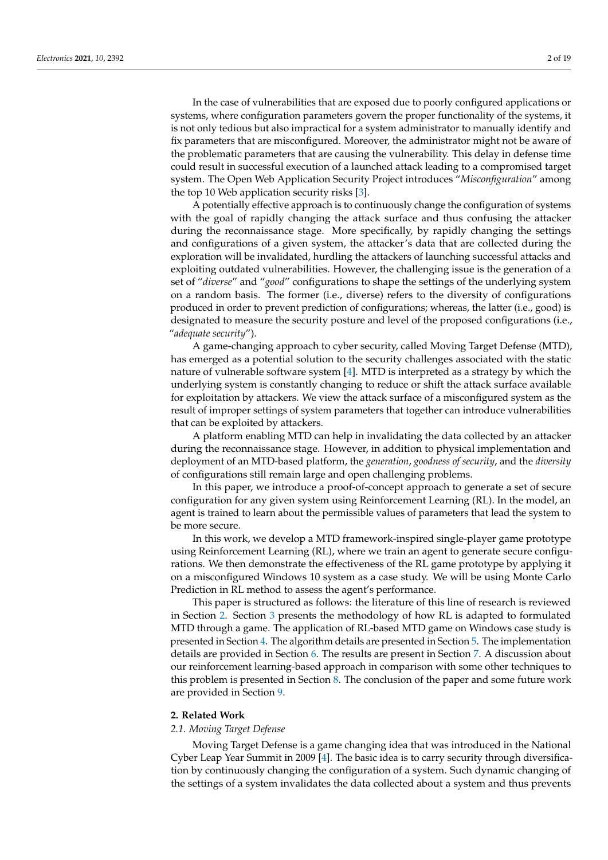In the case of vulnerabilities that are exposed due to poorly configured applications or systems, where configuration parameters govern the proper functionality of the systems, it is not only tedious but also impractical for a system administrator to manually identify and fix parameters that are misconfigured. Moreover, the administrator might not be aware of the problematic parameters that are causing the vulnerability. This delay in defense time could result in successful execution of a launched attack leading to a compromised target system. The Open Web Application Security Project introduces "*Misconfiguration*" among the top 10 Web application security risks [\[3\]](#page-17-2).

A potentially effective approach is to continuously change the configuration of systems with the goal of rapidly changing the attack surface and thus confusing the attacker during the reconnaissance stage. More specifically, by rapidly changing the settings and configurations of a given system, the attacker's data that are collected during the exploration will be invalidated, hurdling the attackers of launching successful attacks and exploiting outdated vulnerabilities. However, the challenging issue is the generation of a set of "*diverse*" and "*good*" configurations to shape the settings of the underlying system on a random basis. The former (i.e., diverse) refers to the diversity of configurations produced in order to prevent prediction of configurations; whereas, the latter (i.e., good) is designated to measure the security posture and level of the proposed configurations (i.e., "*adequate security*").

A game-changing approach to cyber security, called Moving Target Defense (MTD), has emerged as a potential solution to the security challenges associated with the static nature of vulnerable software system [\[4\]](#page-18-0). MTD is interpreted as a strategy by which the underlying system is constantly changing to reduce or shift the attack surface available for exploitation by attackers. We view the attack surface of a misconfigured system as the result of improper settings of system parameters that together can introduce vulnerabilities that can be exploited by attackers.

A platform enabling MTD can help in invalidating the data collected by an attacker during the reconnaissance stage. However, in addition to physical implementation and deployment of an MTD-based platform, the *generation*, *goodness of security*, and the *diversity* of configurations still remain large and open challenging problems.

In this paper, we introduce a proof-of-concept approach to generate a set of secure configuration for any given system using Reinforcement Learning (RL). In the model, an agent is trained to learn about the permissible values of parameters that lead the system to be more secure.

In this work, we develop a MTD framework-inspired single-player game prototype using Reinforcement Learning (RL), where we train an agent to generate secure configurations. We then demonstrate the effectiveness of the RL game prototype by applying it on a misconfigured Windows 10 system as a case study. We will be using Monte Carlo Prediction in RL method to assess the agent's performance.

This paper is structured as follows: the literature of this line of research is reviewed in Section [2.](#page-1-0) Section [3](#page-3-0) presents the methodology of how RL is adapted to formulated MTD through a game. The application of RL-based MTD game on Windows case study is presented in Section [4.](#page-7-0) The algorithm details are presented in Section [5.](#page-9-0) The implementation details are provided in Section [6.](#page-13-0) The results are present in Section [7.](#page-13-1) A discussion about our reinforcement learning-based approach in comparison with some other techniques to this problem is presented in Section [8.](#page-16-0) The conclusion of the paper and some future work are provided in Section [9.](#page-17-3)

#### <span id="page-1-0"></span>**2. Related Work**

### *2.1. Moving Target Defense*

Moving Target Defense is a game changing idea that was introduced in the National Cyber Leap Year Summit in 2009 [\[4\]](#page-18-0). The basic idea is to carry security through diversification by continuously changing the configuration of a system. Such dynamic changing of the settings of a system invalidates the data collected about a system and thus prevents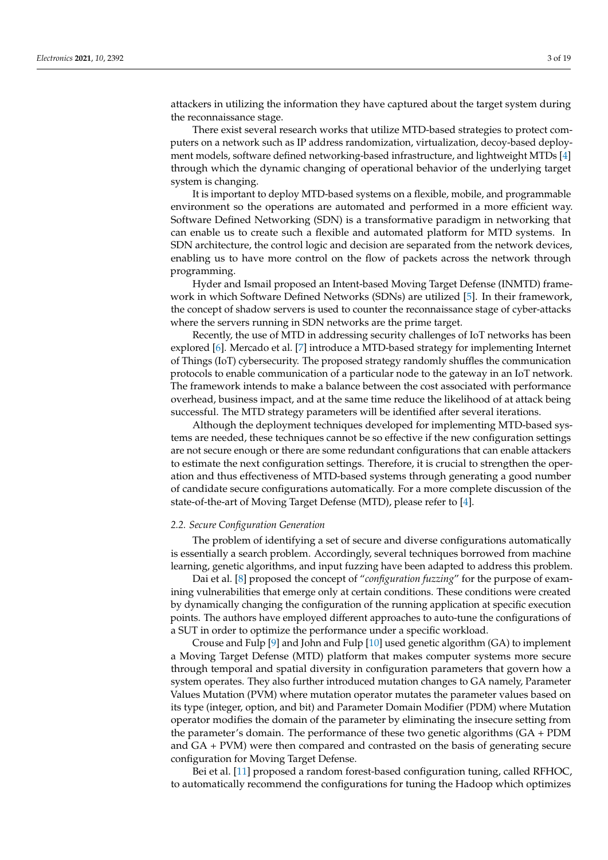attackers in utilizing the information they have captured about the target system during the reconnaissance stage.

There exist several research works that utilize MTD-based strategies to protect computers on a network such as IP address randomization, virtualization, decoy-based deployment models, software defined networking-based infrastructure, and lightweight MTDs [\[4\]](#page-18-0) through which the dynamic changing of operational behavior of the underlying target system is changing.

It is important to deploy MTD-based systems on a flexible, mobile, and programmable environment so the operations are automated and performed in a more efficient way. Software Defined Networking (SDN) is a transformative paradigm in networking that can enable us to create such a flexible and automated platform for MTD systems. In SDN architecture, the control logic and decision are separated from the network devices, enabling us to have more control on the flow of packets across the network through programming.

Hyder and Ismail proposed an Intent-based Moving Target Defense (INMTD) framework in which Software Defined Networks (SDNs) are utilized [\[5\]](#page-18-1). In their framework, the concept of shadow servers is used to counter the reconnaissance stage of cyber-attacks where the servers running in SDN networks are the prime target.

Recently, the use of MTD in addressing security challenges of IoT networks has been explored [\[6\]](#page-18-2). Mercado et al. [\[7\]](#page-18-3) introduce a MTD-based strategy for implementing Internet of Things (IoT) cybersecurity. The proposed strategy randomly shuffles the communication protocols to enable communication of a particular node to the gateway in an IoT network. The framework intends to make a balance between the cost associated with performance overhead, business impact, and at the same time reduce the likelihood of at attack being successful. The MTD strategy parameters will be identified after several iterations.

Although the deployment techniques developed for implementing MTD-based systems are needed, these techniques cannot be so effective if the new configuration settings are not secure enough or there are some redundant configurations that can enable attackers to estimate the next configuration settings. Therefore, it is crucial to strengthen the operation and thus effectiveness of MTD-based systems through generating a good number of candidate secure configurations automatically. For a more complete discussion of the state-of-the-art of Moving Target Defense (MTD), please refer to [\[4\]](#page-18-0).

#### *2.2. Secure Configuration Generation*

The problem of identifying a set of secure and diverse configurations automatically is essentially a search problem. Accordingly, several techniques borrowed from machine learning, genetic algorithms, and input fuzzing have been adapted to address this problem.

Dai et al. [\[8\]](#page-18-4) proposed the concept of "*configuration fuzzing*" for the purpose of examining vulnerabilities that emerge only at certain conditions. These conditions were created by dynamically changing the configuration of the running application at specific execution points. The authors have employed different approaches to auto-tune the configurations of a SUT in order to optimize the performance under a specific workload.

Crouse and Fulp [\[9\]](#page-18-5) and John and Fulp [\[10\]](#page-18-6) used genetic algorithm (GA) to implement a Moving Target Defense (MTD) platform that makes computer systems more secure through temporal and spatial diversity in configuration parameters that govern how a system operates. They also further introduced mutation changes to GA namely, Parameter Values Mutation (PVM) where mutation operator mutates the parameter values based on its type (integer, option, and bit) and Parameter Domain Modifier (PDM) where Mutation operator modifies the domain of the parameter by eliminating the insecure setting from the parameter's domain. The performance of these two genetic algorithms (GA + PDM and GA + PVM) were then compared and contrasted on the basis of generating secure configuration for Moving Target Defense.

Bei et al. [\[11\]](#page-18-7) proposed a random forest-based configuration tuning, called RFHOC, to automatically recommend the configurations for tuning the Hadoop which optimizes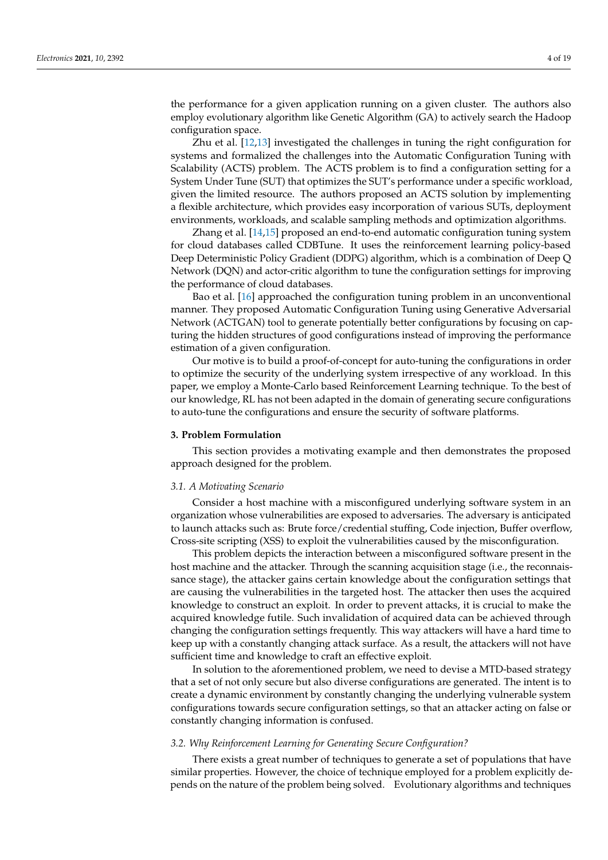the performance for a given application running on a given cluster. The authors also employ evolutionary algorithm like Genetic Algorithm (GA) to actively search the Hadoop configuration space.

Zhu et al. [\[12](#page-18-8)[,13\]](#page-18-9) investigated the challenges in tuning the right configuration for systems and formalized the challenges into the Automatic Configuration Tuning with Scalability (ACTS) problem. The ACTS problem is to find a configuration setting for a System Under Tune (SUT) that optimizes the SUT's performance under a specific workload, given the limited resource. The authors proposed an ACTS solution by implementing a flexible architecture, which provides easy incorporation of various SUTs, deployment environments, workloads, and scalable sampling methods and optimization algorithms.

Zhang et al. [\[14,](#page-18-10)[15\]](#page-18-11) proposed an end-to-end automatic configuration tuning system for cloud databases called CDBTune. It uses the reinforcement learning policy-based Deep Deterministic Policy Gradient (DDPG) algorithm, which is a combination of Deep Q Network (DQN) and actor-critic algorithm to tune the configuration settings for improving the performance of cloud databases.

Bao et al. [\[16\]](#page-18-12) approached the configuration tuning problem in an unconventional manner. They proposed Automatic Configuration Tuning using Generative Adversarial Network (ACTGAN) tool to generate potentially better configurations by focusing on capturing the hidden structures of good configurations instead of improving the performance estimation of a given configuration.

Our motive is to build a proof-of-concept for auto-tuning the configurations in order to optimize the security of the underlying system irrespective of any workload. In this paper, we employ a Monte-Carlo based Reinforcement Learning technique. To the best of our knowledge, RL has not been adapted in the domain of generating secure configurations to auto-tune the configurations and ensure the security of software platforms.

#### <span id="page-3-0"></span>**3. Problem Formulation**

This section provides a motivating example and then demonstrates the proposed approach designed for the problem.

### *3.1. A Motivating Scenario*

Consider a host machine with a misconfigured underlying software system in an organization whose vulnerabilities are exposed to adversaries. The adversary is anticipated to launch attacks such as: Brute force/credential stuffing, Code injection, Buffer overflow, Cross-site scripting (XSS) to exploit the vulnerabilities caused by the misconfiguration.

This problem depicts the interaction between a misconfigured software present in the host machine and the attacker. Through the scanning acquisition stage (i.e., the reconnaissance stage), the attacker gains certain knowledge about the configuration settings that are causing the vulnerabilities in the targeted host. The attacker then uses the acquired knowledge to construct an exploit. In order to prevent attacks, it is crucial to make the acquired knowledge futile. Such invalidation of acquired data can be achieved through changing the configuration settings frequently. This way attackers will have a hard time to keep up with a constantly changing attack surface. As a result, the attackers will not have sufficient time and knowledge to craft an effective exploit.

In solution to the aforementioned problem, we need to devise a MTD-based strategy that a set of not only secure but also diverse configurations are generated. The intent is to create a dynamic environment by constantly changing the underlying vulnerable system configurations towards secure configuration settings, so that an attacker acting on false or constantly changing information is confused.

## *3.2. Why Reinforcement Learning for Generating Secure Configuration?*

There exists a great number of techniques to generate a set of populations that have similar properties. However, the choice of technique employed for a problem explicitly depends on the nature of the problem being solved. Evolutionary algorithms and techniques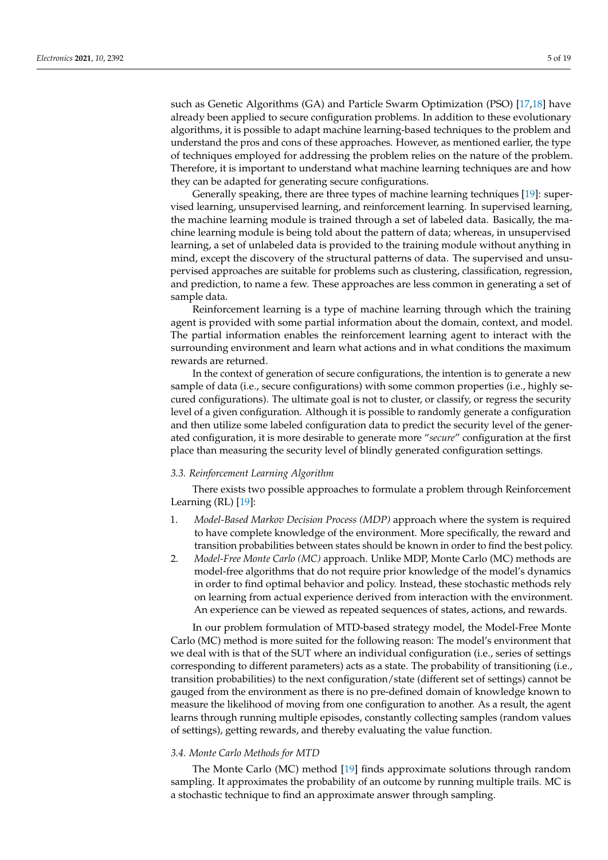such as Genetic Algorithms (GA) and Particle Swarm Optimization (PSO) [\[17](#page-18-13)[,18\]](#page-18-14) have already been applied to secure configuration problems. In addition to these evolutionary algorithms, it is possible to adapt machine learning-based techniques to the problem and understand the pros and cons of these approaches. However, as mentioned earlier, the type of techniques employed for addressing the problem relies on the nature of the problem. Therefore, it is important to understand what machine learning techniques are and how they can be adapted for generating secure configurations.

Generally speaking, there are three types of machine learning techniques [\[19\]](#page-18-15): supervised learning, unsupervised learning, and reinforcement learning. In supervised learning, the machine learning module is trained through a set of labeled data. Basically, the machine learning module is being told about the pattern of data; whereas, in unsupervised learning, a set of unlabeled data is provided to the training module without anything in mind, except the discovery of the structural patterns of data. The supervised and unsupervised approaches are suitable for problems such as clustering, classification, regression, and prediction, to name a few. These approaches are less common in generating a set of sample data.

Reinforcement learning is a type of machine learning through which the training agent is provided with some partial information about the domain, context, and model. The partial information enables the reinforcement learning agent to interact with the surrounding environment and learn what actions and in what conditions the maximum rewards are returned.

In the context of generation of secure configurations, the intention is to generate a new sample of data (i.e., secure configurations) with some common properties (i.e., highly secured configurations). The ultimate goal is not to cluster, or classify, or regress the security level of a given configuration. Although it is possible to randomly generate a configuration and then utilize some labeled configuration data to predict the security level of the generated configuration, it is more desirable to generate more "*secure*" configuration at the first place than measuring the security level of blindly generated configuration settings.

## *3.3. Reinforcement Learning Algorithm*

There exists two possible approaches to formulate a problem through Reinforcement Learning  $(RL)$  [\[19\]](#page-18-15):

- 1. *Model-Based Markov Decision Process (MDP)* approach where the system is required to have complete knowledge of the environment. More specifically, the reward and transition probabilities between states should be known in order to find the best policy.
- 2. *Model-Free Monte Carlo (MC)* approach. Unlike MDP, Monte Carlo (MC) methods are model-free algorithms that do not require prior knowledge of the model's dynamics in order to find optimal behavior and policy. Instead, these stochastic methods rely on learning from actual experience derived from interaction with the environment. An experience can be viewed as repeated sequences of states, actions, and rewards.

In our problem formulation of MTD-based strategy model, the Model-Free Monte Carlo (MC) method is more suited for the following reason: The model's environment that we deal with is that of the SUT where an individual configuration (i.e., series of settings corresponding to different parameters) acts as a state. The probability of transitioning (i.e., transition probabilities) to the next configuration/state (different set of settings) cannot be gauged from the environment as there is no pre-defined domain of knowledge known to measure the likelihood of moving from one configuration to another. As a result, the agent learns through running multiple episodes, constantly collecting samples (random values of settings), getting rewards, and thereby evaluating the value function.

### *3.4. Monte Carlo Methods for MTD*

The Monte Carlo (MC) method [\[19\]](#page-18-15) finds approximate solutions through random sampling. It approximates the probability of an outcome by running multiple trails. MC is a stochastic technique to find an approximate answer through sampling.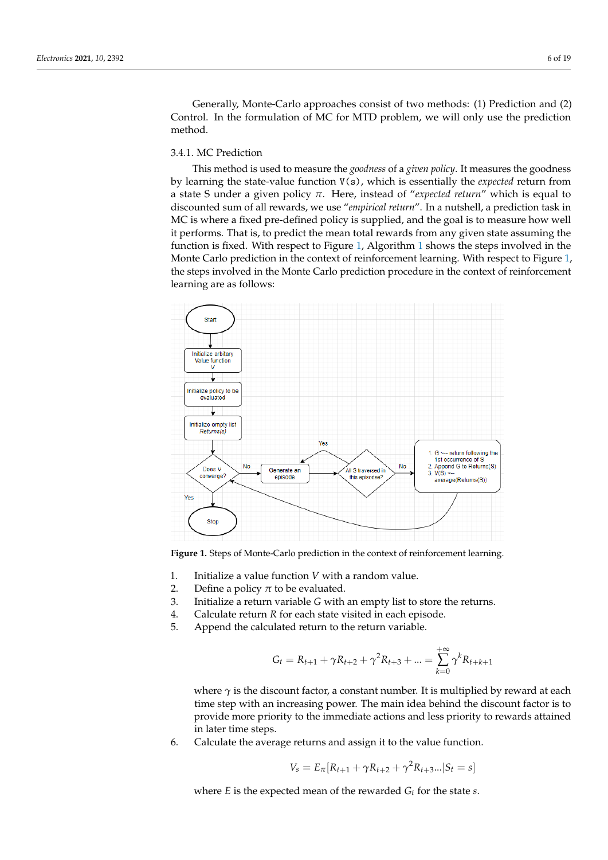Generally, Monte-Carlo approaches consist of two methods: (1) Prediction and (2) Control. In the formulation of MC for MTD problem, we will only use the prediction method.

# 3.4.1. MC Prediction

This method is used to measure the *goodness* of a *given policy*. It measures the goodness by learning the state-value function V(s), which is essentially the *expected* return from a state S under a given policy *π*. Here, instead of "*expected return*" which is equal to discounted sum of all rewards, we use "*empirical return*". In a nutshell, a prediction task in MC is where a fixed pre-defined policy is supplied, and the goal is to measure how well it performs. That is, to predict the mean total rewards from any given state assuming the function is fixed. With respect to Figure [1,](#page-5-0) Algorithm [1](#page-6-0) shows the steps involved in the Monte Carlo prediction in the context of reinforcement learning. With respect to Figure [1,](#page-5-0) the steps involved in the Monte Carlo prediction procedure in the context of reinforcement learning are as follows:

<span id="page-5-0"></span>

**Figure 1.** Steps of Monte-Carlo prediction in the context of reinforcement learning.

- 1. Initialize a value function *V* with a random value.
- 2. Define a policy  $\pi$  to be evaluated.
- 3. Initialize a return variable *G* with an empty list to store the returns.
- 4. Calculate return *R* for each state visited in each episode.
- 5. Append the calculated return to the return variable.

$$
G_t = R_{t+1} + \gamma R_{t+2} + \gamma^2 R_{t+3} + \dots = \sum_{k=0}^{+\infty} \gamma^k R_{t+k+1}
$$

where  $\gamma$  is the discount factor, a constant number. It is multiplied by reward at each time step with an increasing power. The main idea behind the discount factor is to provide more priority to the immediate actions and less priority to rewards attained in later time steps.

6. Calculate the average returns and assign it to the value function.

$$
V_s = E_{\pi}[R_{t+1} + \gamma R_{t+2} + \gamma^2 R_{t+3}... | S_t = s]
$$

where *E* is the expected mean of the rewarded *G<sup>t</sup>* for the state *s*.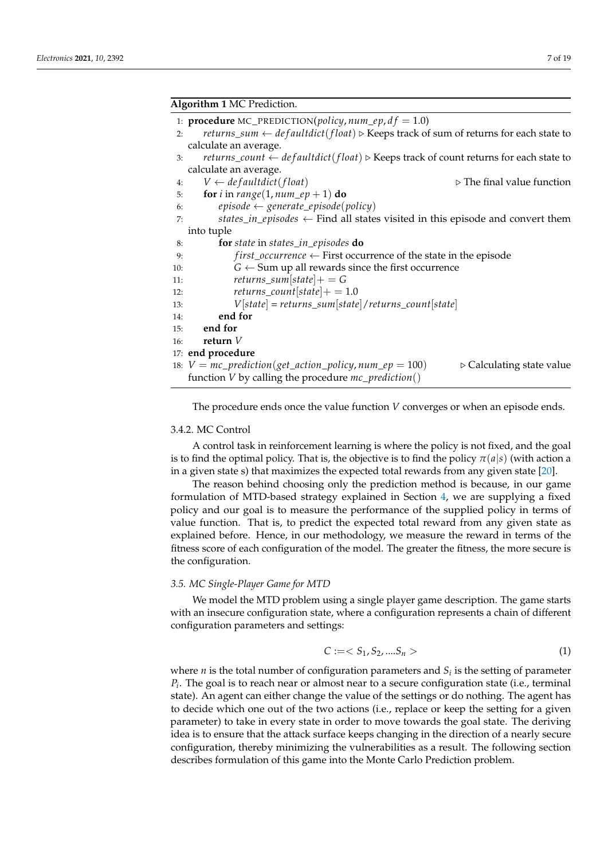<span id="page-6-0"></span>

|     | Algorithm 1 MC Prediction.                                                                                                      |  |  |  |  |
|-----|---------------------------------------------------------------------------------------------------------------------------------|--|--|--|--|
|     | 1: <b>procedure</b> MC_PREDICTION( <i>policy</i> , $num\_ep$ , $df = 1.0$ )                                                     |  |  |  |  |
| 2:  | returns_sum $\leftarrow$ defaultdict(float) $\triangleright$ Keeps track of sum of returns for each state to                    |  |  |  |  |
|     | calculate an average.                                                                                                           |  |  |  |  |
| 3:  | <i>returns_count <math>\leftarrow</math> defaultdict(float)</i> $\triangleright$ Keeps track of count returns for each state to |  |  |  |  |
|     | calculate an average.                                                                                                           |  |  |  |  |
| 4:  | $V \leftarrow \text{defaultdict}(\text{float})$<br>$\triangleright$ The final value function                                    |  |  |  |  |
| 5:  | for <i>i</i> in range(1, num_ep + 1) do                                                                                         |  |  |  |  |
| 6:  | $episode \leftarrow generate\_episode(policy)$                                                                                  |  |  |  |  |
| 7:  | states_in_episodes $\leftarrow$ Find all states visited in this episode and convert them                                        |  |  |  |  |
|     | into tuple                                                                                                                      |  |  |  |  |
| 8:  | for state in states_in_episodes do                                                                                              |  |  |  |  |
| 9:  | $first\_occurrence \leftarrow First occurrence$ of the state in the episode                                                     |  |  |  |  |
| 10: | $G \leftarrow$ Sum up all rewards since the first occurrence                                                                    |  |  |  |  |
| 11: | returns_sum[state] + = $G$                                                                                                      |  |  |  |  |
| 12: | returns_count[state] + = $1.0$                                                                                                  |  |  |  |  |
| 13: | $V[state] = returns\_sum[state]/returns\_count[state]$                                                                          |  |  |  |  |
| 14: | end for                                                                                                                         |  |  |  |  |
| 15: | end for                                                                                                                         |  |  |  |  |
| 16: | return $V$                                                                                                                      |  |  |  |  |
|     | 17: end procedure                                                                                                               |  |  |  |  |
|     | 18: $V = mc\_prediction(get\_action\_policy, num\_ep = 100)$<br>$\triangleright$ Calculating state value                        |  |  |  |  |
|     | function $V$ by calling the procedure $mc\_prediction()$                                                                        |  |  |  |  |
|     |                                                                                                                                 |  |  |  |  |

The procedure ends once the value function *V* converges or when an episode ends.

# 3.4.2. MC Control

A control task in reinforcement learning is where the policy is not fixed, and the goal is to find the optimal policy. That is, the objective is to find the policy  $\pi(a|s)$  (with action a in a given state s) that maximizes the expected total rewards from any given state [\[20\]](#page-18-16).

The reason behind choosing only the prediction method is because, in our game formulation of MTD-based strategy explained in Section [4,](#page-7-0) we are supplying a fixed policy and our goal is to measure the performance of the supplied policy in terms of value function. That is, to predict the expected total reward from any given state as explained before. Hence, in our methodology, we measure the reward in terms of the fitness score of each configuration of the model. The greater the fitness, the more secure is the configuration.

#### *3.5. MC Single-Player Game for MTD*

We model the MTD problem using a single player game description. The game starts with an insecure configuration state, where a configuration represents a chain of different configuration parameters and settings:

<span id="page-6-1"></span>
$$
C := \langle S_1, S_2, \dots S_n \rangle \tag{1}
$$

where *n* is the total number of configuration parameters and  $S_i$  is the setting of parameter *Pi* . The goal is to reach near or almost near to a secure configuration state (i.e., terminal state). An agent can either change the value of the settings or do nothing. The agent has to decide which one out of the two actions (i.e., replace or keep the setting for a given parameter) to take in every state in order to move towards the goal state. The deriving idea is to ensure that the attack surface keeps changing in the direction of a nearly secure configuration, thereby minimizing the vulnerabilities as a result. The following section describes formulation of this game into the Monte Carlo Prediction problem.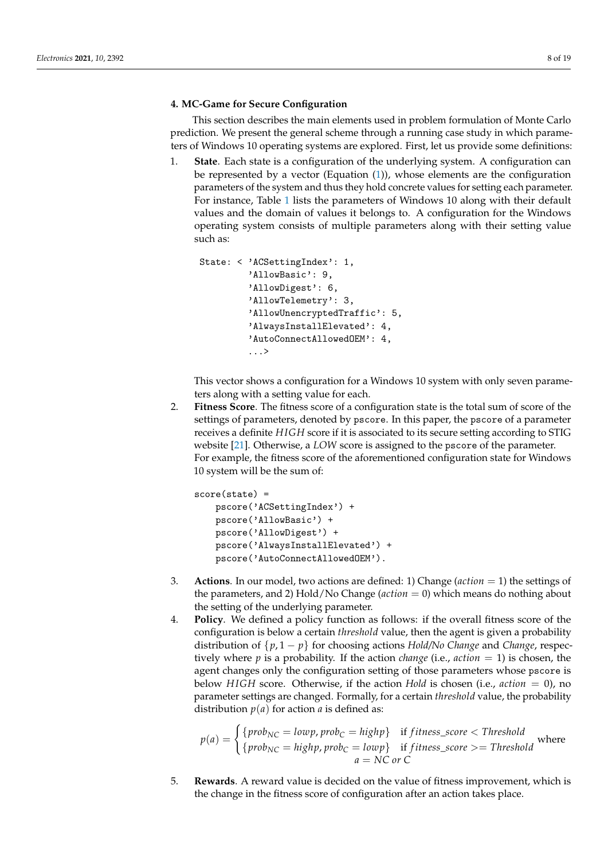# <span id="page-7-0"></span>**4. MC-Game for Secure Configuration**

This section describes the main elements used in problem formulation of Monte Carlo prediction. We present the general scheme through a running case study in which parameters of Windows 10 operating systems are explored. First, let us provide some definitions:

1. **State**. Each state is a configuration of the underlying system. A configuration can be represented by a vector (Equation [\(1\)](#page-6-1)), whose elements are the configuration parameters of the system and thus they hold concrete values for setting each parameter. For instance, Table [1](#page-8-0) lists the parameters of Windows 10 along with their default values and the domain of values it belongs to. A configuration for the Windows operating system consists of multiple parameters along with their setting value such as:

```
State: < 'ACSettingIndex': 1,
      'AllowBasic': 9,
      'AllowDigest': 6,
      'AllowTelemetry': 3,
      'AllowUnencryptedTraffic': 5,
      'AlwaysInstallElevated': 4,
      'AutoConnectAllowedOEM': 4,
      ...>
```
This vector shows a configuration for a Windows 10 system with only seven parameters along with a setting value for each.

2. **Fitness Score**. The fitness score of a configuration state is the total sum of score of the settings of parameters, denoted by pscore. In this paper, the pscore of a parameter receives a definite *H IGH* score if it is associated to its secure setting according to STIG website [\[21\]](#page-18-17). Otherwise, a *LOW* score is assigned to the pscore of the parameter. For example, the fitness score of the aforementioned configuration state for Windows 10 system will be the sum of:

```
score(state) =
pscore('ACSettingIndex') +
pscore('AllowBasic') +
pscore('AllowDigest') +
pscore('AlwaysInstallElevated') +
pscore('AutoConnectAllowedOEM').
```
- 3. **Actions**. In our model, two actions are defined: 1) Change (*action* = 1) the settings of the parameters, and 2) Hold/No Change (*action* = 0) which means do nothing about the setting of the underlying parameter.
- 4. **Policy**. We defined a policy function as follows: if the overall fitness score of the configuration is below a certain *threshold* value, then the agent is given a probability distribution of {*p*, 1 − *p*} for choosing actions *Hold/No Change* and *Change*, respectively where *p* is a probability. If the action *change* (i.e., *action* = 1) is chosen, the agent changes only the configuration setting of those parameters whose pscore is below *H IGH* score. Otherwise, if the action *Hold* is chosen (i.e., *action* = 0), no parameter settings are changed. Formally, for a certain *threshold* value, the probability distribution  $p(a)$  for action *a* is defined as:

$$
p(a) = \begin{cases} \{prob_{NC} = lowp, prob_C = highp\} & \text{if fitness\_score} < Threshold \\ \{prob_{NC} = highp, prob_C = lowp\} & \text{if fitness\_score} > = Threshold \end{cases}
$$
 where 
$$
a = NC \text{ or } C
$$

5. **Rewards**. A reward value is decided on the value of fitness improvement, which is the change in the fitness score of configuration after an action takes place.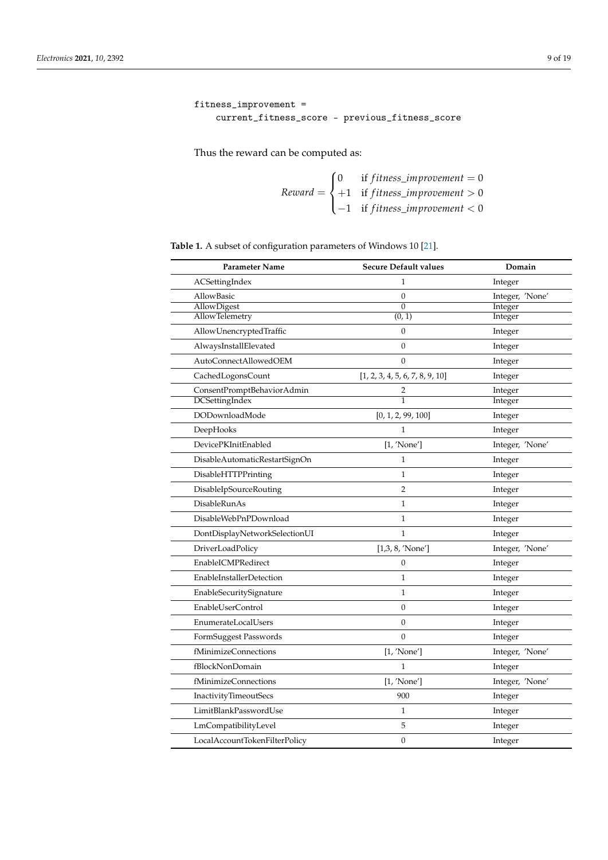```
fitness_improvement =
 current_fitness_score - previous_fitness_score
```
Thus the reward can be computed as:

$$
Reward = \begin{cases} 0 & \text{if fitness\_improvement} = 0\\ +1 & \text{if fitness\_improvement} > 0\\ -1 & \text{if fitness\_improvement} < 0 \end{cases}
$$

<span id="page-8-0"></span>

| Table 1. A subset of configuration parameters of Windows 10 [21]. |  |
|-------------------------------------------------------------------|--|
|-------------------------------------------------------------------|--|

| Parameter Name                  | <b>Secure Default values</b>    | Domain          |
|---------------------------------|---------------------------------|-----------------|
| ACSettingIndex                  | 1                               | Integer         |
| AllowBasic                      | $\boldsymbol{0}$                | Integer, 'None' |
| AllowDigest                     | $\mathbf{0}$                    | Integer         |
| <b>AllowTelemetry</b>           | (0, 1)                          | Integer         |
| AllowUnencryptedTraffic         | $\mathbf{0}$                    | Integer         |
| AlwaysInstallElevated           | $\mathbf{0}$                    | Integer         |
| AutoConnectAllowedOEM           | $\theta$                        | Integer         |
| CachedLogonsCount               | [1, 2, 3, 4, 5, 6, 7, 8, 9, 10] | Integer         |
| ConsentPromptBehaviorAdmin      | 2                               | Integer         |
| DCSettingIndex                  | $\mathbf{1}$                    | Integer         |
| DODownloadMode                  | [0, 1, 2, 99, 100]              | Integer         |
| DeepHooks                       | $\mathbf{1}$                    | Integer         |
| DevicePKInitEnabled             | [1, 'None']                     | Integer, 'None' |
| DisableAutomaticRestartSignOn   | 1                               | Integer         |
| DisableHTTPPrinting             | 1                               | Integer         |
| <b>DisableIpSourceRouting</b>   | 2                               | Integer         |
| DisableRunAs                    | $\mathbf{1}$                    | Integer         |
| DisableWebPnPDownload           | $\mathbf{1}$                    | Integer         |
| DontDisplayNetworkSelectionUI   | 1                               | Integer         |
| DriverLoadPolicy                | [1,3, 8, 'None']                | Integer, 'None' |
| EnableICMPRedirect              | $\theta$                        | Integer         |
| <b>EnableInstallerDetection</b> | $\mathbf{1}$                    | Integer         |
| EnableSecuritySignature         | 1                               | Integer         |
| EnableUserControl               | $\boldsymbol{0}$                | Integer         |
| EnumerateLocalUsers             | $\boldsymbol{0}$                | Integer         |
| FormSuggest Passwords           | $\boldsymbol{0}$                | Integer         |
| fMinimizeConnections            | [1, 'None']                     | Integer, 'None' |
| fBlockNonDomain                 | 1                               | Integer         |
| fMinimizeConnections            | [1, 'None']                     | Integer, 'None' |
| InactivityTimeoutSecs           | 900                             | Integer         |
| LimitBlankPasswordUse           | 1                               | Integer         |
| LmCompatibilityLevel            | 5                               | Integer         |
| LocalAccountTokenFilterPolicy   | $\mathbf{0}$                    | Integer         |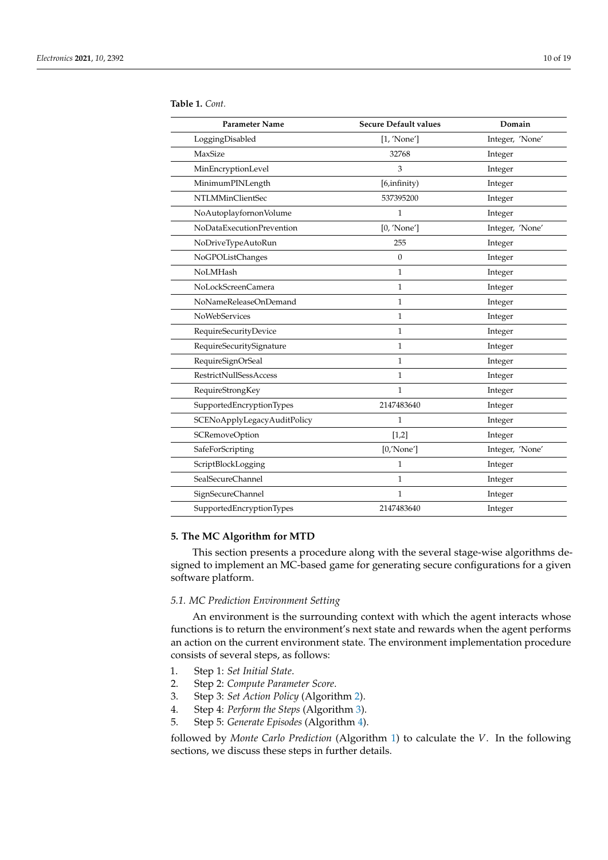| <b>Parameter Name</b>         | <b>Secure Default values</b> | Domain          |
|-------------------------------|------------------------------|-----------------|
| LoggingDisabled               | [1, 'None']                  | Integer, 'None' |
| MaxSize                       | 32768                        | Integer         |
| MinEncryptionLevel            | 3                            | Integer         |
| MinimumPINLength              | [6,infinity)                 | Integer         |
| NTLMMinClientSec              | 537395200                    | Integer         |
| NoAutoplayfornonVolume        | $\mathbf{1}$                 | Integer         |
| NoDataExecutionPrevention     | [0, 'None']                  | Integer, 'None' |
| NoDriveTypeAutoRun            | 255                          | Integer         |
| NoGPOListChanges              | $\overline{0}$               | Integer         |
| NoLMHash                      | $\mathbf{1}$                 | Integer         |
| NoLockScreenCamera            | $\mathbf{1}$                 | Integer         |
| NoNameReleaseOnDemand         | 1                            | Integer         |
| <b>NoWebServices</b>          | $\mathbf{1}$                 | Integer         |
| RequireSecurityDevice         | $\mathbf{1}$                 | Integer         |
| RequireSecuritySignature      | 1                            | Integer         |
| RequireSignOrSeal             | $\mathbf{1}$                 | Integer         |
| <b>RestrictNullSessAccess</b> | $\mathbf{1}$                 | Integer         |
| RequireStrongKey              | 1                            | Integer         |
| SupportedEncryptionTypes      | 2147483640                   | Integer         |
| SCENoApplyLegacyAuditPolicy   | 1                            | Integer         |
| SCRemoveOption                | $[1,2]$                      | Integer         |
| SafeForScripting              | [0/None']                    | Integer, 'None' |
| ScriptBlockLogging            | $\mathbf{1}$                 | Integer         |
| SealSecureChannel             | 1                            | Integer         |
| SignSecureChannel             | $\mathbf{1}$                 | Integer         |
| SupportedEncryptionTypes      | 2147483640                   | Integer         |

#### **Table 1.** *Cont.*

# <span id="page-9-0"></span>**5. The MC Algorithm for MTD**

This section presents a procedure along with the several stage-wise algorithms designed to implement an MC-based game for generating secure configurations for a given software platform.

### *5.1. MC Prediction Environment Setting*

An environment is the surrounding context with which the agent interacts whose functions is to return the environment's next state and rewards when the agent performs an action on the current environment state. The environment implementation procedure consists of several steps, as follows:

- 1. Step 1: *Set Initial State*.
- 2. Step 2: *Compute Parameter Score*.
- 3. Step 3: *Set Action Policy* (Algorithm [2\)](#page-10-0).
- 4. Step 4: *Perform the Steps* (Algorithm [3\)](#page-11-0).
- 5. Step 5: *Generate Episodes* (Algorithm [4\)](#page-12-0).

followed by *Monte Carlo Prediction* (Algorithm [1\)](#page-6-0) to calculate the *V*. In the following sections, we discuss these steps in further details.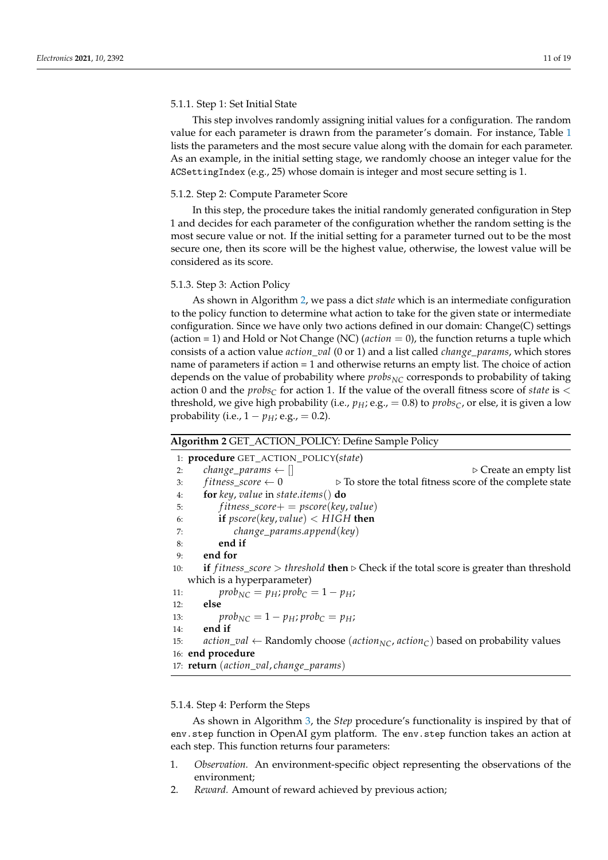## 5.1.1. Step 1: Set Initial State

This step involves randomly assigning initial values for a configuration. The random value for each parameter is drawn from the parameter's domain. For instance, Table [1](#page-8-0) lists the parameters and the most secure value along with the domain for each parameter. As an example, in the initial setting stage, we randomly choose an integer value for the ACSettingIndex (e.g., 25) whose domain is integer and most secure setting is 1.

# 5.1.2. Step 2: Compute Parameter Score

In this step, the procedure takes the initial randomly generated configuration in Step 1 and decides for each parameter of the configuration whether the random setting is the most secure value or not. If the initial setting for a parameter turned out to be the most secure one, then its score will be the highest value, otherwise, the lowest value will be considered as its score.

# 5.1.3. Step 3: Action Policy

As shown in Algorithm [2,](#page-10-0) we pass a dict *state* which is an intermediate configuration to the policy function to determine what action to take for the given state or intermediate configuration. Since we have only two actions defined in our domain: Change(C) settings (action = 1) and Hold or Not Change (NC) (*action* = 0), the function returns a tuple which consists of a action value *action*\_*val* (0 or 1) and a list called *change*\_*params*, which stores name of parameters if action = 1 and otherwise returns an empty list. The choice of action depends on the value of probability where *probs<sub>NC</sub>* corresponds to probability of taking action 0 and the  $probs<sub>C</sub>$  for action 1. If the value of the overall fitness score of *state* is  $\lt$ threshold, we give high probability (i.e.,  $p_H$ ; e.g., = 0.8) to  $probs<sub>C</sub>$ , or else, it is given a low probability (i.e.,  $1 - p_H$ ; e.g., = 0.2).

## <span id="page-10-0"></span>**Algorithm 2** GET\_ACTION\_POLICY: Define Sample Policy

1: **procedure** GET\_ACTION\_POLICY(*state*) 2: *change\_params*  $\leftarrow$  []  $\qquad \qquad$   $\qquad \qquad$   $\qquad \qquad$   $\qquad \qquad$   $\qquad \qquad$   $\qquad \qquad$   $\qquad \qquad$   $\qquad \qquad$   $\qquad \qquad$   $\qquad \qquad$   $\qquad \qquad$   $\qquad \qquad$   $\qquad \qquad$   $\qquad \qquad$   $\qquad \qquad$   $\qquad \qquad$   $\qquad$   $\qquad \qquad$   $\qquad \qquad$   $\qquad \qquad$   $\qquad \qquad$   $\qquad \qquad$ 3:  $fitness\_score \leftarrow 0$   $\triangleright$  To store the total fitness score of the complete state 4: **for** *key*, *value* in *state*.*items*() **do** 5: *f itness*\_*score*+ = *pscore*(*key*, *value*) 6: **if** *pscore*(*key*, *value*) < *H IGH* **then** 7: *change*\_*params*.*append*(*key*) 8: **end if** 9: **end for** 10: **if**  $fitness\_score > threshold$  **then**  $\triangleright$  Check if the total score is greater than threshold which is a hyperparameter) 11:  $prob_{NC} = p_H; prob_C = 1 - p_H;$ 12: **else** 13:  $prob_{NC} = 1 - p_H$ ;  $prob_C = p_H$ ; 14: **end if** 15: *action\_val* ← Randomly choose (*action*<sub>NC</sub>, *action*<sub>C</sub>) based on probability values 16: **end procedure** 17: **return** (*action*\_*val*, *change*\_*params*)

#### 5.1.4. Step 4: Perform the Steps

As shown in Algorithm [3,](#page-11-0) the *Step* procedure's functionality is inspired by that of env.step function in OpenAI gym platform. The env.step function takes an action at each step. This function returns four parameters:

- 1. *Observation.* An environment-specific object representing the observations of the environment;
- 2. *Reward.* Amount of reward achieved by previous action;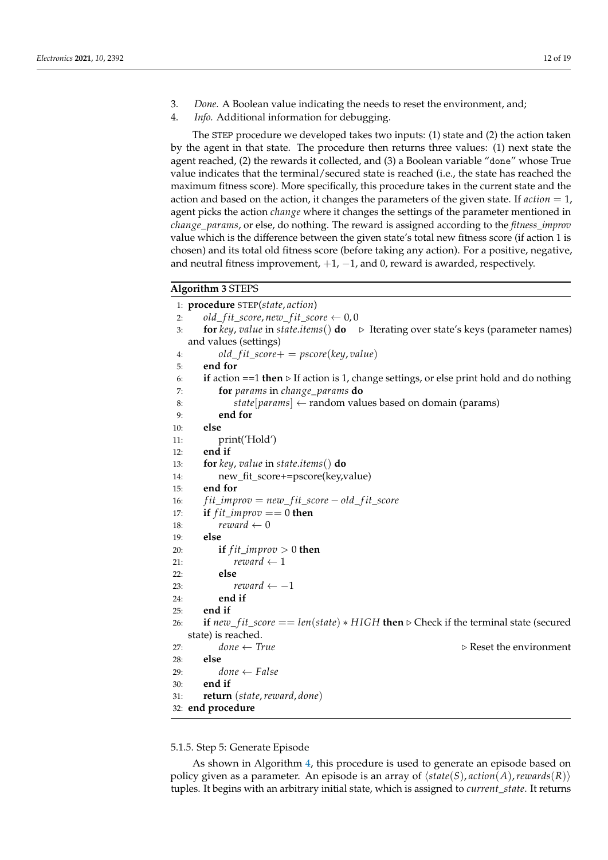- 3. *Done.* A Boolean value indicating the needs to reset the environment, and;
- 4. *Info.* Additional information for debugging.

The STEP procedure we developed takes two inputs: (1) state and (2) the action taken by the agent in that state. The procedure then returns three values: (1) next state the agent reached, (2) the rewards it collected, and (3) a Boolean variable "done" whose True value indicates that the terminal/secured state is reached (i.e., the state has reached the maximum fitness score). More specifically, this procedure takes in the current state and the action and based on the action, it changes the parameters of the given state. If *action* = 1, agent picks the action *change* where it changes the settings of the parameter mentioned in *change*\_*params*, or else, do nothing. The reward is assigned according to the *fitness\_improv* value which is the difference between the given state's total new fitness score (if action 1 is chosen) and its total old fitness score (before taking any action). For a positive, negative, and neutral fitness improvement,  $+1$ ,  $-1$ , and 0, reward is awarded, respectively.

# <span id="page-11-0"></span>**Algorithm 3** STEPS

1: **procedure** STEP(*state*, *action*) 2:  $old\_ fit\_score, new\_ fit\_score \leftarrow 0,0$ 3: **for** *key*, *value* in *state*.*items*() **do** . Iterating over state's keys (parameter names) and values (settings) 4: *old*\_ *f it*\_*score*+ = *pscore*(*key*, *value*) 5: **end for** 6: **if** action  $==1$  **then**  $\triangleright$  If action is 1, change settings, or else print hold and do nothing 7: **for** *params* in *change*\_*params* **do** 8: *state*[*params*] ← random values based on domain (params) 9: **end for** 10: **else** 11: print('Hold') 12: **end if** 13: **for** *key*, *value* in *state*.*items*() **do** 14: new\_fit\_score+=pscore(key,value) 15: **end for** 16: *f it*\_*improv* = *new*\_ *f it*\_*score* − *old*\_ *f it*\_*score* 17: **if** *fit improv*  $== 0$  **then** 18:  $reward \leftarrow 0$ 19: **else** 20: **if**  $fit\_improv > 0$  **then** 21:  $reward \leftarrow 1$ 22: **else** 23:  $reward \leftarrow -1$ 24: **end if** 25: **end if** 26: **if**  $new\_ fit\_score == len(state) * HIGH$ **then**  $\triangleright$  Check if the terminal state (secured state) is reached.<br>  $done \leftarrow True$ 27: *done* ← *True* . Reset the environment 28: **else**  $29:$  *done*  $\leftarrow$  *False* 30: **end if** 31: **return** (*state*,*reward*, *done*) 32: **end procedure**

5.1.5. Step 5: Generate Episode

As shown in Algorithm [4,](#page-12-0) this procedure is used to generate an episode based on policy given as a parameter. An episode is an array of  $\langle state(S), action(A), rewards(R) \rangle$ tuples. It begins with an arbitrary initial state, which is assigned to *current*\_*state*. It returns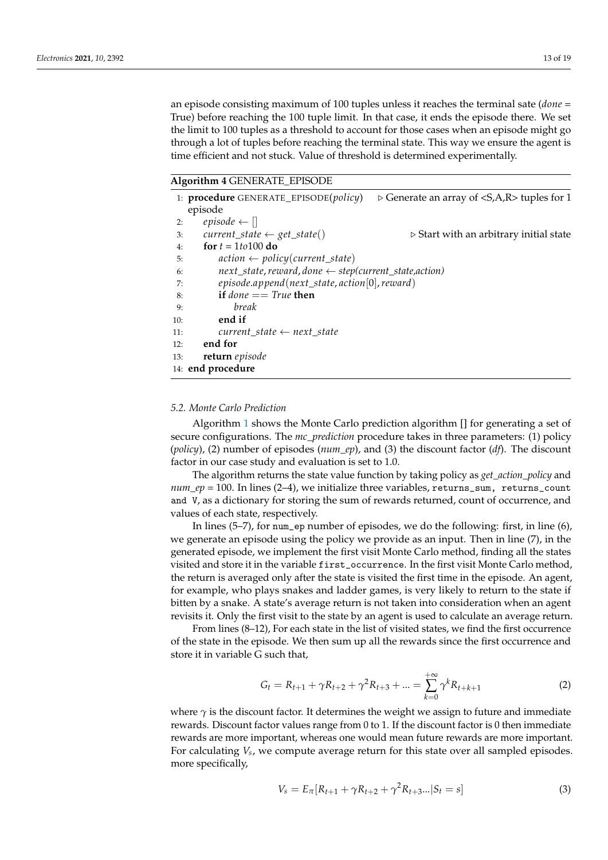an episode consisting maximum of 100 tuples unless it reaches the terminal sate (*done* = True) before reaching the 100 tuple limit. In that case, it ends the episode there. We set the limit to 100 tuples as a threshold to account for those cases when an episode might go through a lot of tuples before reaching the terminal state. This way we ensure the agent is time efficient and not stuck. Value of threshold is determined experimentally.

<span id="page-12-0"></span>**Algorithm 4** GENERATE\_EPISODE

|     | 1: <b>procedure</b> GENERATE_EPISODE( <i>policy</i> )                 | $\triangleright$ Generate an array of <s,a,r> tuples for 1</s,a,r> |
|-----|-----------------------------------------------------------------------|--------------------------------------------------------------------|
|     | episode                                                               |                                                                    |
| 2:  | episode $\leftarrow$ []                                               |                                                                    |
| 3:  | $current\_state \leftarrow get\_state()$                              | $\triangleright$ Start with an arbitrary initial state             |
| 4:  | for $t = 1t0100$ do                                                   |                                                                    |
| 5:  | $action \leftarrow policy(current\_state)$                            |                                                                    |
| 6:  | $next\_state$ , reward, done $\leftarrow$ step(current_state, action) |                                                                    |
| 7:  | $episode.append(next_state, action[0], reward)$                       |                                                                    |
| 8:  | if <i>done</i> $==$ <i>True</i> then                                  |                                                                    |
| 9:  | break                                                                 |                                                                    |
| 10: | end if                                                                |                                                                    |
| 11: | current state $\leftarrow$ next state                                 |                                                                    |
| 12: | end for                                                               |                                                                    |
| 13: | return episode                                                        |                                                                    |
|     | 14: end procedure                                                     |                                                                    |
|     |                                                                       |                                                                    |

# *5.2. Monte Carlo Prediction*

Algorithm [1](#page-6-0) shows the Monte Carlo prediction algorithm [] for generating a set of secure configurations. The *mc\_prediction* procedure takes in three parameters: (1) policy (*policy*), (2) number of episodes (*num\_ep*), and (3) the discount factor (*df*). The discount factor in our case study and evaluation is set to 1.0.

The algorithm returns the state value function by taking policy as *get\_action\_policy* and  $num\_ep = 100$ . In lines (2-4), we initialize three variables, returns\_sum, returns\_count and V, as a dictionary for storing the sum of rewards returned, count of occurrence, and values of each state, respectively.

In lines (5–7), for num\_ep number of episodes, we do the following: first, in line (6), we generate an episode using the policy we provide as an input. Then in line (7), in the generated episode, we implement the first visit Monte Carlo method, finding all the states visited and store it in the variable first\_occurrence. In the first visit Monte Carlo method, the return is averaged only after the state is visited the first time in the episode. An agent, for example, who plays snakes and ladder games, is very likely to return to the state if bitten by a snake. A state's average return is not taken into consideration when an agent revisits it. Only the first visit to the state by an agent is used to calculate an average return.

From lines (8–12), For each state in the list of visited states, we find the first occurrence of the state in the episode. We then sum up all the rewards since the first occurrence and store it in variable G such that,

$$
G_t = R_{t+1} + \gamma R_{t+2} + \gamma^2 R_{t+3} + \dots = \sum_{k=0}^{+\infty} \gamma^k R_{t+k+1}
$$
 (2)

where  $\gamma$  is the discount factor. It determines the weight we assign to future and immediate rewards. Discount factor values range from 0 to 1. If the discount factor is 0 then immediate rewards are more important, whereas one would mean future rewards are more important. For calculating *V<sup>s</sup>* , we compute average return for this state over all sampled episodes. more specifically,

$$
V_s = E_{\pi} [R_{t+1} + \gamma R_{t+2} + \gamma^2 R_{t+3}... | S_t = s]
$$
\n(3)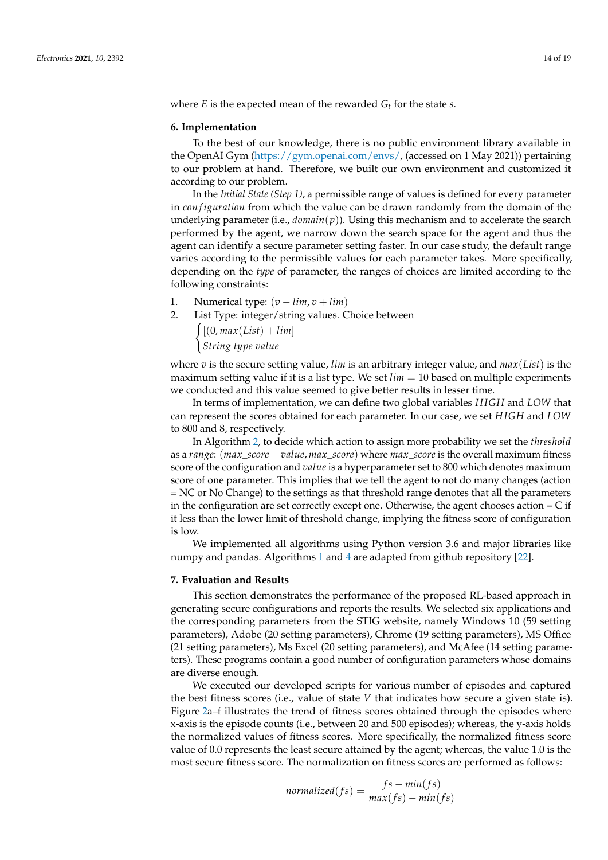where *E* is the expected mean of the rewarded *G<sup>t</sup>* for the state *s*.

## <span id="page-13-0"></span>**6. Implementation**

To the best of our knowledge, there is no public environment library available in the OpenAI Gym [\(https://gym.openai.com/envs/,](https://gym.openai.com/envs/) (accessed on 1 May 2021)) pertaining to our problem at hand. Therefore, we built our own environment and customized it according to our problem.

In the *Initial State (Step 1)*, a permissible range of values is defined for every parameter in *con figuration* from which the value can be drawn randomly from the domain of the underlying parameter (i.e.,  $domain(p)$ ). Using this mechanism and to accelerate the search performed by the agent, we narrow down the search space for the agent and thus the agent can identify a secure parameter setting faster. In our case study, the default range varies according to the permissible values for each parameter takes. More specifically, depending on the *type* of parameter, the ranges of choices are limited according to the following constraints:

- 1. Numerical type:  $(v \lim, v + \lim)$
- 2. List Type: integer/string values. Choice between  $\int [(0, max(List) + lim)]$ *String type value*

where *v* is the secure setting value, *lim* is an arbitrary integer value, and *max*(*List*) is the maximum setting value if it is a list type. We set  $\lim = 10$  based on multiple experiments we conducted and this value seemed to give better results in lesser time.

In terms of implementation, we can define two global variables *H IGH* and *LOW* that can represent the scores obtained for each parameter. In our case, we set *H IGH* and *LOW* to 800 and 8, respectively.

In Algorithm [2,](#page-10-0) to decide which action to assign more probability we set the *threshold* as a *range*: (*max*\_*score* − *value*, *max*\_*score*) where *max*\_*score* is the overall maximum fitness score of the configuration and *value* is a hyperparameter set to 800 which denotes maximum score of one parameter. This implies that we tell the agent to not do many changes (action = NC or No Change) to the settings as that threshold range denotes that all the parameters in the configuration are set correctly except one. Otherwise, the agent chooses action = C if it less than the lower limit of threshold change, implying the fitness score of configuration is low.

We implemented all algorithms using Python version 3.6 and major libraries like numpy and pandas. Algorithms [1](#page-6-0) and [4](#page-12-0) are adapted from github repository [\[22\]](#page-18-18).

#### <span id="page-13-1"></span>**7. Evaluation and Results**

This section demonstrates the performance of the proposed RL-based approach in generating secure configurations and reports the results. We selected six applications and the corresponding parameters from the STIG website, namely Windows 10 (59 setting parameters), Adobe (20 setting parameters), Chrome (19 setting parameters), MS Office (21 setting parameters), Ms Excel (20 setting parameters), and McAfee (14 setting parameters). These programs contain a good number of configuration parameters whose domains are diverse enough.

We executed our developed scripts for various number of episodes and captured the best fitness scores (i.e., value of state  $V$  that indicates how secure a given state is). Figure [2a](#page-14-0)–f illustrates the trend of fitness scores obtained through the episodes where x-axis is the episode counts (i.e., between 20 and 500 episodes); whereas, the y-axis holds the normalized values of fitness scores. More specifically, the normalized fitness score value of 0.0 represents the least secure attained by the agent; whereas, the value 1.0 is the most secure fitness score. The normalization on fitness scores are performed as follows:

$$
normalized(fs) = \frac{fs - min(fs)}{max(fs) - min(fs)}
$$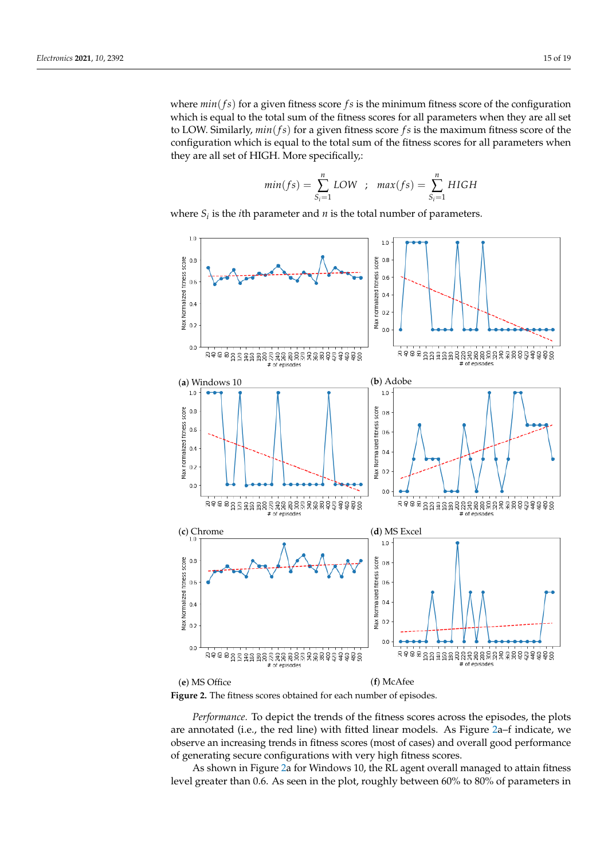where  $min(f<sub>s</sub>)$  for a given fitness score  $fs$  is the minimum fitness score of the configuration which is equal to the total sum of the fitness scores for all parameters when they are all set to LOW. Similarly, *min*(*f s*) for a given fitness score *f s* is the maximum fitness score of the configuration which is equal to the total sum of the fitness scores for all parameters when they are all set of HIGH. More specifically,:

$$
min(fs) = \sum_{S_i=1}^{n} LOW \quad ; \quad max(fs) = \sum_{S_i=1}^{n} HIGH
$$

where  $S_i$  is the *i*th parameter and  $n$  is the total number of parameters.

<span id="page-14-0"></span>



*Performance.* To depict the trends of the fitness scores across the episodes, the plots are annotated (i.e., the red line) with fitted linear models. As Figure [2a](#page-14-0)–f indicate, we observe an increasing trends in fitness scores (most of cases) and overall good performance of generating secure configurations with very high fitness scores.

As shown in Figure [2a](#page-14-0) for Windows 10, the RL agent overall managed to attain fitness level greater than 0.6. As seen in the plot, roughly between 60% to 80% of parameters in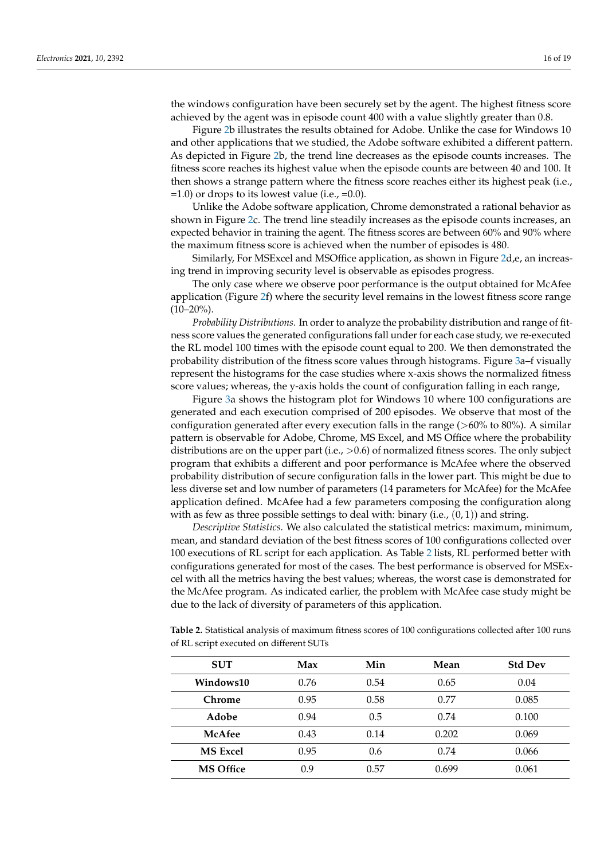the windows configuration have been securely set by the agent. The highest fitness score achieved by the agent was in episode count 400 with a value slightly greater than 0.8.

Figure [2b](#page-14-0) illustrates the results obtained for Adobe. Unlike the case for Windows 10 and other applications that we studied, the Adobe software exhibited a different pattern. As depicted in Figure [2b](#page-14-0), the trend line decreases as the episode counts increases. The fitness score reaches its highest value when the episode counts are between 40 and 100. It then shows a strange pattern where the fitness score reaches either its highest peak (i.e.,  $=1.0$ ) or drops to its lowest value (i.e.,  $=0.0$ ).

Unlike the Adobe software application, Chrome demonstrated a rational behavior as shown in Figure [2c](#page-14-0). The trend line steadily increases as the episode counts increases, an expected behavior in training the agent. The fitness scores are between 60% and 90% where the maximum fitness score is achieved when the number of episodes is 480.

Similarly, For MSExcel and MSOffice application, as shown in Figure [2d](#page-14-0),e, an increasing trend in improving security level is observable as episodes progress.

The only case where we observe poor performance is the output obtained for McAfee application (Figure [2f](#page-14-0)) where the security level remains in the lowest fitness score range  $(10-20\%)$ .

*Probability Distributions.* In order to analyze the probability distribution and range of fitness score values the generated configurations fall under for each case study, we re-executed the RL model 100 times with the episode count equal to 200. We then demonstrated the probability distribution of the fitness score values through histograms. Figure [3a](#page-16-1)–f visually represent the histograms for the case studies where x-axis shows the normalized fitness score values; whereas, the y-axis holds the count of configuration falling in each range,

Figure [3a](#page-16-1) shows the histogram plot for Windows 10 where 100 configurations are generated and each execution comprised of 200 episodes. We observe that most of the configuration generated after every execution falls in the range  $(>60\%$  to 80%). A similar pattern is observable for Adobe, Chrome, MS Excel, and MS Office where the probability distributions are on the upper part (i.e.,  $>0.6$ ) of normalized fitness scores. The only subject program that exhibits a different and poor performance is McAfee where the observed probability distribution of secure configuration falls in the lower part. This might be due to less diverse set and low number of parameters (14 parameters for McAfee) for the McAfee application defined. McAfee had a few parameters composing the configuration along with as few as three possible settings to deal with: binary (i.e.,  $(0, 1)$ ) and string.

*Descriptive Statistics.* We also calculated the statistical metrics: maximum, minimum, mean, and standard deviation of the best fitness scores of 100 configurations collected over 100 executions of RL script for each application. As Table [2](#page-15-0) lists, RL performed better with configurations generated for most of the cases. The best performance is observed for MSExcel with all the metrics having the best values; whereas, the worst case is demonstrated for the McAfee program. As indicated earlier, the problem with McAfee case study might be due to the lack of diversity of parameters of this application.

<span id="page-15-0"></span>**Table 2.** Statistical analysis of maximum fitness scores of 100 configurations collected after 100 runs of RL script executed on different SUTs

| <b>SUT</b>       | Max  | Min  | Mean  | <b>Std Dev</b> |
|------------------|------|------|-------|----------------|
| Windows10        | 0.76 | 0.54 | 0.65  | 0.04           |
| <b>Chrome</b>    | 0.95 | 0.58 | 0.77  | 0.085          |
| Adobe            | 0.94 | 0.5  | 0.74  | 0.100          |
| McAfee           | 0.43 | 0.14 | 0.202 | 0.069          |
| <b>MS</b> Excel  | 0.95 | 0.6  | 0.74  | 0.066          |
| <b>MS Office</b> | 0.9  | 0.57 | 0.699 | 0.061          |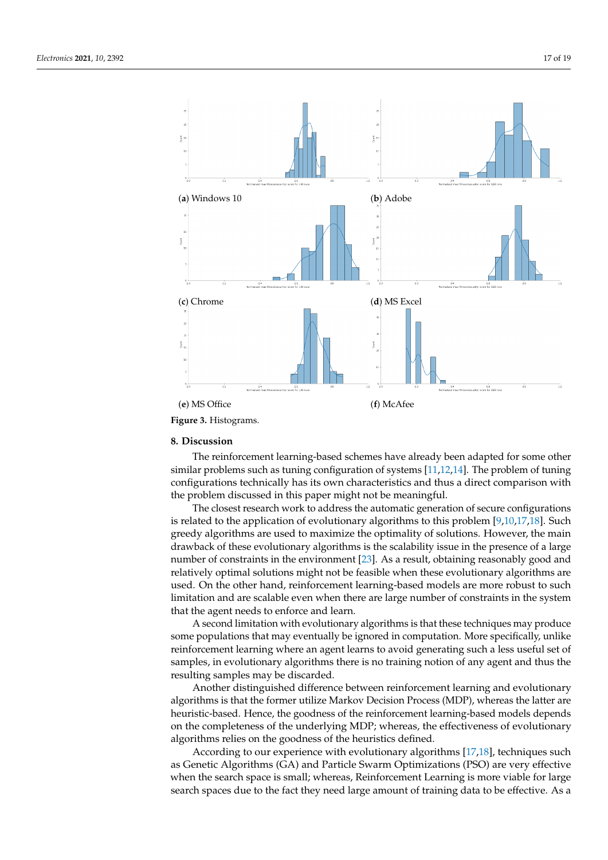<span id="page-16-1"></span>

#### <span id="page-16-0"></span>**8. Discussion**

The reinforcement learning-based schemes have already been adapted for some other similar problems such as tuning configuration of systems [\[11,](#page-18-7)[12,](#page-18-8)[14\]](#page-18-10). The problem of tuning configurations technically has its own characteristics and thus a direct comparison with the problem discussed in this paper might not be meaningful.

The closest research work to address the automatic generation of secure configurations is related to the application of evolutionary algorithms to this problem [\[9,](#page-18-5)[10,](#page-18-6)[17,](#page-18-13)[18\]](#page-18-14). Such greedy algorithms are used to maximize the optimality of solutions. However, the main drawback of these evolutionary algorithms is the scalability issue in the presence of a large number of constraints in the environment [\[23\]](#page-18-19). As a result, obtaining reasonably good and relatively optimal solutions might not be feasible when these evolutionary algorithms are used. On the other hand, reinforcement learning-based models are more robust to such limitation and are scalable even when there are large number of constraints in the system that the agent needs to enforce and learn.

A second limitation with evolutionary algorithms is that these techniques may produce some populations that may eventually be ignored in computation. More specifically, unlike reinforcement learning where an agent learns to avoid generating such a less useful set of samples, in evolutionary algorithms there is no training notion of any agent and thus the resulting samples may be discarded.

Another distinguished difference between reinforcement learning and evolutionary algorithms is that the former utilize Markov Decision Process (MDP), whereas the latter are heuristic-based. Hence, the goodness of the reinforcement learning-based models depends on the completeness of the underlying MDP; whereas, the effectiveness of evolutionary algorithms relies on the goodness of the heuristics defined.

According to our experience with evolutionary algorithms [\[17](#page-18-13)[,18\]](#page-18-14), techniques such as Genetic Algorithms (GA) and Particle Swarm Optimizations (PSO) are very effective when the search space is small; whereas, Reinforcement Learning is more viable for large search spaces due to the fact they need large amount of training data to be effective. As a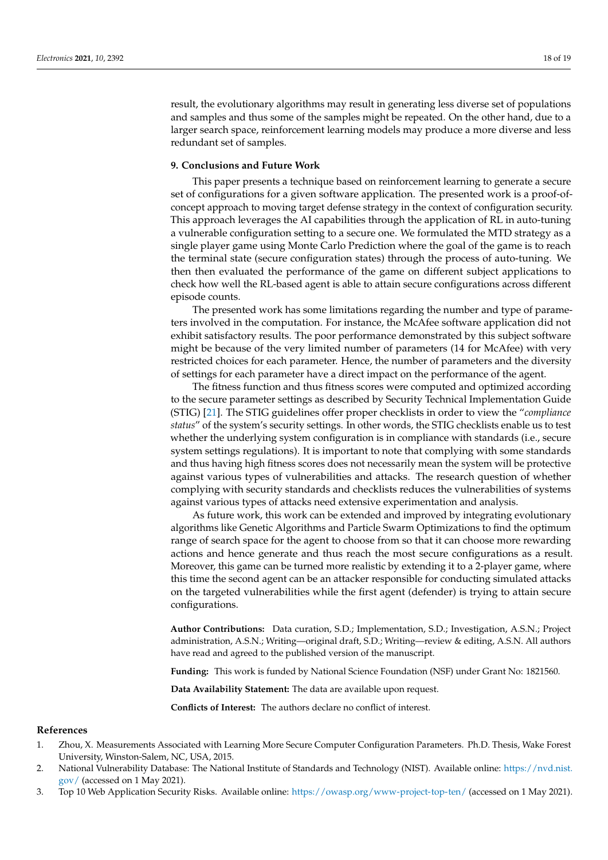result, the evolutionary algorithms may result in generating less diverse set of populations and samples and thus some of the samples might be repeated. On the other hand, due to a larger search space, reinforcement learning models may produce a more diverse and less redundant set of samples.

## <span id="page-17-3"></span>**9. Conclusions and Future Work**

This paper presents a technique based on reinforcement learning to generate a secure set of configurations for a given software application. The presented work is a proof-ofconcept approach to moving target defense strategy in the context of configuration security. This approach leverages the AI capabilities through the application of RL in auto-tuning a vulnerable configuration setting to a secure one. We formulated the MTD strategy as a single player game using Monte Carlo Prediction where the goal of the game is to reach the terminal state (secure configuration states) through the process of auto-tuning. We then then evaluated the performance of the game on different subject applications to check how well the RL-based agent is able to attain secure configurations across different episode counts.

The presented work has some limitations regarding the number and type of parameters involved in the computation. For instance, the McAfee software application did not exhibit satisfactory results. The poor performance demonstrated by this subject software might be because of the very limited number of parameters (14 for McAfee) with very restricted choices for each parameter. Hence, the number of parameters and the diversity of settings for each parameter have a direct impact on the performance of the agent.

The fitness function and thus fitness scores were computed and optimized according to the secure parameter settings as described by Security Technical Implementation Guide (STIG) [\[21\]](#page-18-17). The STIG guidelines offer proper checklists in order to view the "*compliance status*" of the system's security settings. In other words, the STIG checklists enable us to test whether the underlying system configuration is in compliance with standards (i.e., secure system settings regulations). It is important to note that complying with some standards and thus having high fitness scores does not necessarily mean the system will be protective against various types of vulnerabilities and attacks. The research question of whether complying with security standards and checklists reduces the vulnerabilities of systems against various types of attacks need extensive experimentation and analysis.

As future work, this work can be extended and improved by integrating evolutionary algorithms like Genetic Algorithms and Particle Swarm Optimizations to find the optimum range of search space for the agent to choose from so that it can choose more rewarding actions and hence generate and thus reach the most secure configurations as a result. Moreover, this game can be turned more realistic by extending it to a 2-player game, where this time the second agent can be an attacker responsible for conducting simulated attacks on the targeted vulnerabilities while the first agent (defender) is trying to attain secure configurations.

**Author Contributions:** Data curation, S.D.; Implementation, S.D.; Investigation, A.S.N.; Project administration, A.S.N.; Writing—original draft, S.D.; Writing—review & editing, A.S.N. All authors have read and agreed to the published version of the manuscript.

**Funding:** This work is funded by National Science Foundation (NSF) under Grant No: 1821560.

**Data Availability Statement:** The data are available upon request.

**Conflicts of Interest:** The authors declare no conflict of interest.

## **References**

- <span id="page-17-0"></span>1. Zhou, X. Measurements Associated with Learning More Secure Computer Configuration Parameters. Ph.D. Thesis, Wake Forest University, Winston-Salem, NC, USA, 2015.
- <span id="page-17-1"></span>2. National Vulnerability Database: The National Institute of Standards and Technology (NIST). Available online: [https://nvd.nist.](https://nvd.nist.gov/) [gov/](https://nvd.nist.gov/) (accessed on 1 May 2021).
- <span id="page-17-2"></span>3. Top 10 Web Application Security Risks. Available online: [https://owasp.org/www-project-top-ten/]( https://owasp.org/www-project-top-ten/) (accessed on 1 May 2021).